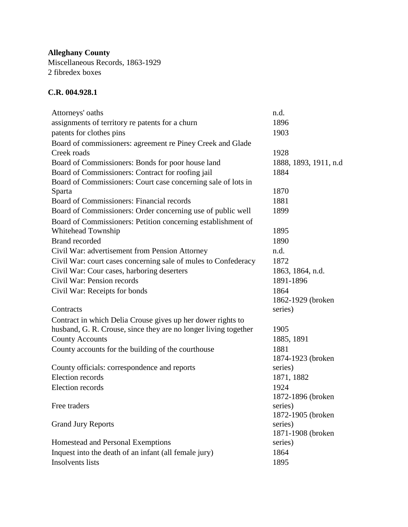**Alleghany County** Miscellaneous Records, 1863-1929 2 fibredex boxes

## **C.R. 004.928.1**

| Attorneys' oaths                                                | n.d.                  |
|-----------------------------------------------------------------|-----------------------|
| assignments of territory re patents for a churn                 | 1896                  |
| patents for clothes pins                                        | 1903                  |
| Board of commissioners: agreement re Piney Creek and Glade      |                       |
| Creek roads                                                     | 1928                  |
| Board of Commissioners: Bonds for poor house land               | 1888, 1893, 1911, n.d |
| Board of Commissioners: Contract for roofing jail               | 1884                  |
| Board of Commissioners: Court case concerning sale of lots in   |                       |
| Sparta                                                          | 1870                  |
| Board of Commissioners: Financial records                       | 1881                  |
| Board of Commissioners: Order concerning use of public well     | 1899                  |
| Board of Commissioners: Petition concerning establishment of    |                       |
| Whitehead Township                                              | 1895                  |
| <b>Brand recorded</b>                                           | 1890                  |
| Civil War: advertisement from Pension Attorney                  | n.d.                  |
| Civil War: court cases concerning sale of mules to Confederacy  | 1872                  |
| Civil War: Cour cases, harboring deserters                      | 1863, 1864, n.d.      |
| Civil War: Pension records                                      | 1891-1896             |
| Civil War: Receipts for bonds                                   | 1864                  |
|                                                                 | 1862-1929 (broken     |
| Contracts                                                       | series)               |
| Contract in which Delia Crouse gives up her dower rights to     |                       |
| husband, G. R. Crouse, since they are no longer living together | 1905                  |
| <b>County Accounts</b>                                          | 1885, 1891            |
| County accounts for the building of the courthouse              | 1881                  |
|                                                                 | 1874-1923 (broken     |
| County officials: correspondence and reports                    | series)               |
| Election records                                                | 1871, 1882            |
| Election records                                                | 1924                  |
|                                                                 | 1872-1896 (broken     |
| Free traders                                                    | series)               |
|                                                                 | 1872-1905 (broken     |
| <b>Grand Jury Reports</b>                                       | series)               |
|                                                                 | 1871-1908 (broken     |
| Homestead and Personal Exemptions                               | series)               |
| Inquest into the death of an infant (all female jury)           | 1864                  |
| Insolvents lists                                                | 1895                  |